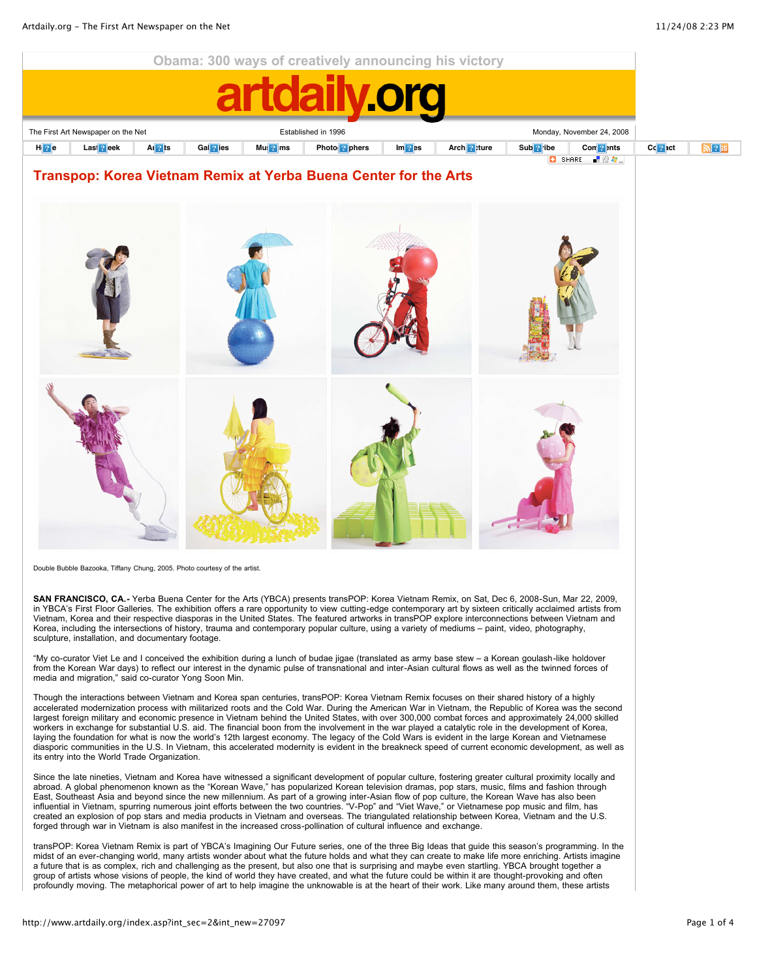

Double Bubble Bazooka, Tiffany Chung, 2005. Photo courtesy of the artist.

**SAN FRANCISCO, CA.-** Yerba Buena Center for the Arts (YBCA) presents transPOP: Korea Vietnam Remix, on Sat, Dec 6, 2008-Sun, Mar 22, 2009, in YBCA's First Floor Galleries. The exhibition offers a rare opportunity to view cutting-edge contemporary art by sixteen critically acclaimed artists from Vietnam, Korea and their respective diasporas in the United States. The featured artworks in transPOP explore interconnections between Vietnam and Korea, including the intersections of history, trauma and contemporary popular culture, using a variety of mediums – paint, video, photography, sculpture, installation, and documentary footage.

"My co-curator Viet Le and I conceived the exhibition during a lunch of budae jigae (translated as army base stew – a Korean goulash-like holdover from the Korean War days) to reflect our interest in the dynamic pulse of transnational and inter-Asian cultural flows as well as the twinned forces of media and migration," said co-curator Yong Soon Min.

Though the interactions between Vietnam and Korea span centuries, transPOP: Korea Vietnam Remix focuses on their shared history of a highly accelerated modernization process with militarized roots and the Cold War. During the American War in Vietnam, the Republic of Korea was the second largest foreign military and economic presence in Vietnam behind the United States, with over 300,000 combat forces and approximately 24,000 skilled workers in exchange for substantial U.S. aid. The financial boon from the involvement in the war played a catalytic role in the development of Korea, laying the foundation for what is now the world's 12th largest economy. The legacy of the Cold Wars is evident in the large Korean and Vietnamese diasporic communities in the U.S. In Vietnam, this accelerated modernity is evident in the breakneck speed of current economic development, as well as its entry into the World Trade Organization.

Since the late nineties, Vietnam and Korea have witnessed a significant development of popular culture, fostering greater cultural proximity locally and abroad. A global phenomenon known as the "Korean Wave," has popularized Korean television dramas, pop stars, music, films and fashion through East, Southeast Asia and beyond since the new millennium. As part of a growing inter-Asian flow of pop culture, the Korean Wave has also been influential in Vietnam, spurring numerous joint efforts between the two countries. "V-Pop" and "Viet Wave," or Vietnamese pop music and film, has created an explosion of pop stars and media products in Vietnam and overseas. The triangulated relationship between Korea, Vietnam and the U.S. forged through war in Vietnam is also manifest in the increased cross-pollination of cultural influence and exchange.

transPOP: Korea Vietnam Remix is part of YBCA's Imagining Our Future series, one of the three Big Ideas that guide this season's programming. In the midst of an ever-changing world, many artists wonder about what the future holds and what they can create to make life more enriching. Artists imagine a future that is as complex, rich and challenging as the present, but also one that is surprising and maybe even startling. YBCA brought together a group of artists whose visions of people, the kind of world they have created, and what the future could be within it are thought-provoking and often profoundly moving. The metaphorical power of art to help imagine the unknowable is at the heart of their work. Like many around them, these artists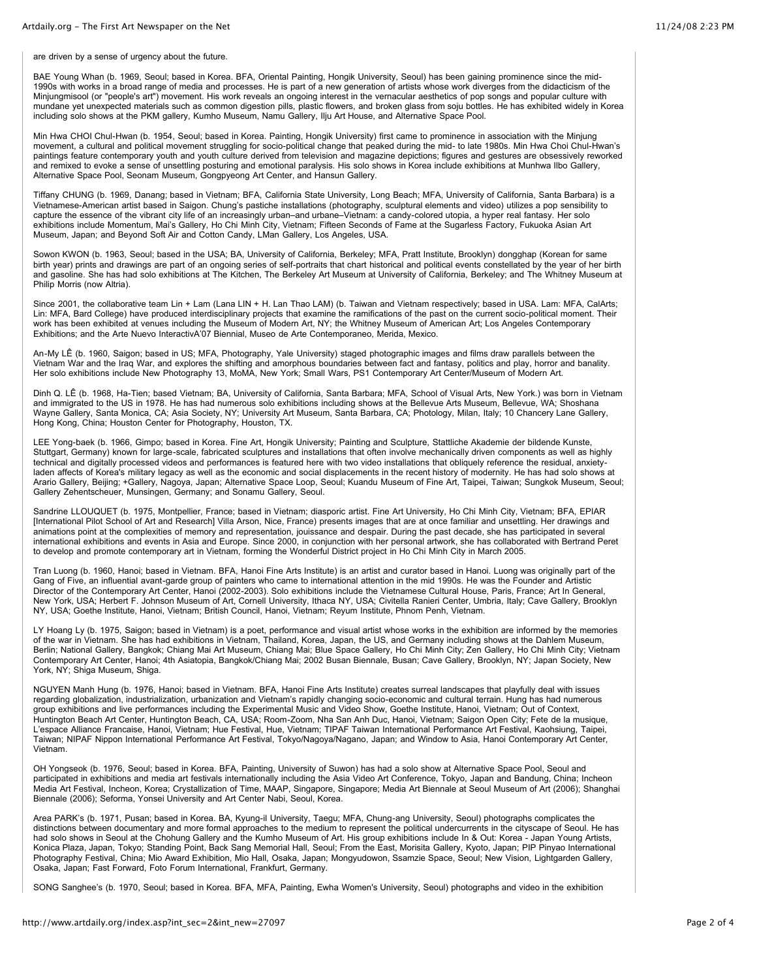are driven by a sense of urgency about the future.

BAE Young Whan (b. 1969, Seoul; based in Korea. BFA, Oriental Painting, Hongik University, Seoul) has been gaining prominence since the mid-1990s with works in a broad range of media and processes. He is part of a new generation of artists whose work diverges from the didacticism of the Minjungmisool (or "people's art") movement. His work reveals an ongoing interest in the vernacular aesthetics of pop songs and popular culture with mundane yet unexpected materials such as common digestion pills, plastic flowers, and broken glass from soju bottles. He has exhibited widely in Korea including solo shows at the PKM gallery, Kumho Museum, Namu Gallery, Ilju Art House, and Alternative Space Pool.

Min Hwa CHOI Chul-Hwan (b. 1954, Seoul; based in Korea. Painting, Hongik University) first came to prominence in association with the Minjung movement, a cultural and political movement struggling for socio-political change that peaked during the mid- to late 1980s. Min Hwa Choi Chul-Hwan's paintings feature contemporary youth and youth culture derived from television and magazine depictions; figures and gestures are obsessively reworked and remixed to evoke a sense of unsettling posturing and emotional paralysis. His solo shows in Korea include exhibitions at Munhwa Ilbo Gallery, Alternative Space Pool, Seonam Museum, Gongpyeong Art Center, and Hansun Gallery.

Tiffany CHUNG (b. 1969, Danang; based in Vietnam; BFA, California State University, Long Beach; MFA, University of California, Santa Barbara) is a Vietnamese-American artist based in Saigon. Chung's pastiche installations (photography, sculptural elements and video) utilizes a pop sensibility to capture the essence of the vibrant city life of an increasingly urban–and urbane–Vietnam: a candy-colored utopia, a hyper real fantasy. Her solo exhibitions include Momentum, Mai's Gallery, Ho Chi Minh City, Vietnam; Fifteen Seconds of Fame at the Sugarless Factory, Fukuoka Asian Art Museum, Japan; and Beyond Soft Air and Cotton Candy, LMan Gallery, Los Angeles, USA.

Sowon KWON (b. 1963, Seoul; based in the USA; BA, University of California, Berkeley; MFA, Pratt Institute, Brooklyn) dongghap (Korean for same birth year) prints and drawings are part of an ongoing series of self-portraits that chart historical and political events constellated by the year of her birth and gasoline. She has had solo exhibitions at The Kitchen, The Berkeley Art Museum at University of California, Berkeley; and The Whitney Museum at Philip Morris (now Altria).

Since 2001, the collaborative team Lin + Lam (Lana LIN + H. Lan Thao LAM) (b. Taiwan and Vietnam respectively; based in USA. Lam: MFA, CalArts; Lin: MFA, Bard College) have produced interdisciplinary projects that examine the ramifications of the past on the current socio-political moment. Their work has been exhibited at venues including the Museum of Modern Art, NY; the Whitney Museum of American Art; Los Angeles Contemporary Exhibitions; and the Arte Nuevo InteractivA'07 Biennial, Museo de Arte Contemporaneo, Merida, Mexico.

An-My LÊ (b. 1960, Saigon; based in US; MFA, Photography, Yale University) staged photographic images and films draw parallels between the Vietnam War and the Iraq War, and explores the shifting and amorphous boundaries between fact and fantasy, politics and play, horror and banality. Her solo exhibitions include New Photography 13, MoMA, New York; Small Wars, PS1 Contemporary Art Center/Museum of Modern Art.

Dinh Q. LÊ (b. 1968, Ha-Tien; based Vietnam; BA, University of California, Santa Barbara; MFA, School of Visual Arts, New York.) was born in Vietnam and immigrated to the US in 1978. He has had numerous solo exhibitions including shows at the Bellevue Arts Museum, Bellevue, WA; Shoshana Wayne Gallery, Santa Monica, CA; Asia Society, NY; University Art Museum, Santa Barbara, CA; Photology, Milan, Italy; 10 Chancery Lane Gallery, Hong Kong, China; Houston Center for Photography, Houston, TX.

LEE Yong-baek (b. 1966, Gimpo; based in Korea. Fine Art, Hongik University; Painting and Sculpture, Stattliche Akademie der bildende Kunste, Stuttgart, Germany) known for large-scale, fabricated sculptures and installations that often involve mechanically driven components as well as highly technical and digitally processed videos and performances is featured here with two video installations that obliquely reference the residual, anxietyladen affects of Korea's military legacy as well as the economic and social displacements in the recent history of modernity. He has had solo shows at Arario Gallery, Beijing; +Gallery, Nagoya, Japan; Alternative Space Loop, Seoul; Kuandu Museum of Fine Art, Taipei, Taiwan; Sungkok Museum, Seoul; Gallery Zehentscheuer, Munsingen, Germany; and Sonamu Gallery, Seoul.

Sandrine LLOUQUET (b. 1975, Montpellier, France; based in Vietnam; diasporic artist. Fine Art University, Ho Chi Minh City, Vietnam; BFA, EPIAR [International Pilot School of Art and Research] Villa Arson, Nice, France) presents images that are at once familiar and unsettling. Her drawings and animations point at the complexities of memory and representation, jouissance and despair. During the past decade, she has participated in several international exhibitions and events in Asia and Europe. Since 2000, in conjunction with her personal artwork, she has collaborated with Bertrand Peret to develop and promote contemporary art in Vietnam, forming the Wonderful District project in Ho Chi Minh City in March 2005.

Tran Luong (b. 1960, Hanoi; based in Vietnam. BFA, Hanoi Fine Arts Institute) is an artist and curator based in Hanoi. Luong was originally part of the Gang of Five, an influential avant-garde group of painters who came to international attention in the mid 1990s. He was the Founder and Artistic Director of the Contemporary Art Center, Hanoi (2002-2003). Solo exhibitions include the Vietnamese Cultural House, Paris, France; Art In General, New York, USA; Herbert F. Johnson Museum of Art, Cornell University, Ithaca NY, USA; Civitella Ranieri Center, Umbria, Italy; Cave Gallery, Brooklyn NY, USA; Goethe Institute, Hanoi, Vietnam; British Council, Hanoi, Vietnam; Reyum Institute, Phnom Penh, Vietnam.

LY Hoang Ly (b. 1975, Saigon; based in Vietnam) is a poet, performance and visual artist whose works in the exhibition are informed by the memories of the war in Vietnam. She has had exhibitions in Vietnam, Thailand, Korea, Japan, the US, and Germany including shows at the Dahlem Museum, Berlin; National Gallery, Bangkok; Chiang Mai Art Museum, Chiang Mai; Blue Space Gallery, Ho Chi Minh City; Zen Gallery, Ho Chi Minh City; Vietnam Contemporary Art Center, Hanoi; 4th Asiatopia, Bangkok/Chiang Mai; 2002 Busan Biennale, Busan; Cave Gallery, Brooklyn, NY; Japan Society, New York, NY; Shiga Museum, Shiga.

NGUYEN Manh Hung (b. 1976, Hanoi; based in Vietnam. BFA, Hanoi Fine Arts Institute) creates surreal landscapes that playfully deal with issues regarding globalization, industrialization, urbanization and Vietnam's rapidly changing socio-economic and cultural terrain. Hung has had numerous group exhibitions and live performances including the Experimental Music and Video Show, Goethe Institute, Hanoi, Vietnam; Out of Context, Huntington Beach Art Center, Huntington Beach, CA, USA; Room-Zoom, Nha San Anh Duc, Hanoi, Vietnam; Saigon Open City; Fete de la musique, L'espace Alliance Francaise, Hanoi, Vietnam; Hue Festival, Hue, Vietnam; TIPAF Taiwan International Performance Art Festival, Kaohsiung, Taipei, Taiwan; NIPAF Nippon International Performance Art Festival, Tokyo/Nagoya/Nagano, Japan; and Window to Asia, Hanoi Contemporary Art Center, Vietnam.

OH Yongseok (b. 1976, Seoul; based in Korea. BFA, Painting, University of Suwon) has had a solo show at Alternative Space Pool, Seoul and participated in exhibitions and media art festivals internationally including the Asia Video Art Conference, Tokyo, Japan and Bandung, China; Incheon Media Art Festival, Incheon, Korea; Crystallization of Time, MAAP, Singapore, Singapore; Media Art Biennale at Seoul Museum of Art (2006); Shanghai Biennale (2006); Seforma, Yonsei University and Art Center Nabi, Seoul, Korea.

Area PARK's (b. 1971, Pusan; based in Korea. BA, Kyung-il University, Taegu; MFA, Chung-ang University, Seoul) photographs complicates the distinctions between documentary and more formal approaches to the medium to represent the political undercurrents in the cityscape of Seoul. He has had solo shows in Seoul at the Chohung Gallery and the Kumho Museum of Art. His group exhibitions include In & Out: Korea - Japan Young Artists, Konica Plaza, Japan, Tokyo; Standing Point, Back Sang Memorial Hall, Seoul; From the East, Morisita Gallery, Kyoto, Japan; PIP Pinyao International Photography Festival, China; Mio Award Exhibition, Mio Hall, Osaka, Japan; Mongyudowon, Ssamzie Space, Seoul; New Vision, Lightgarden Gallery, Osaka, Japan; Fast Forward, Foto Forum International, Frankfurt, Germany.

SONG Sanghee's (b. 1970, Seoul; based in Korea. BFA, MFA, Painting, Ewha Women's University, Seoul) photographs and video in the exhibition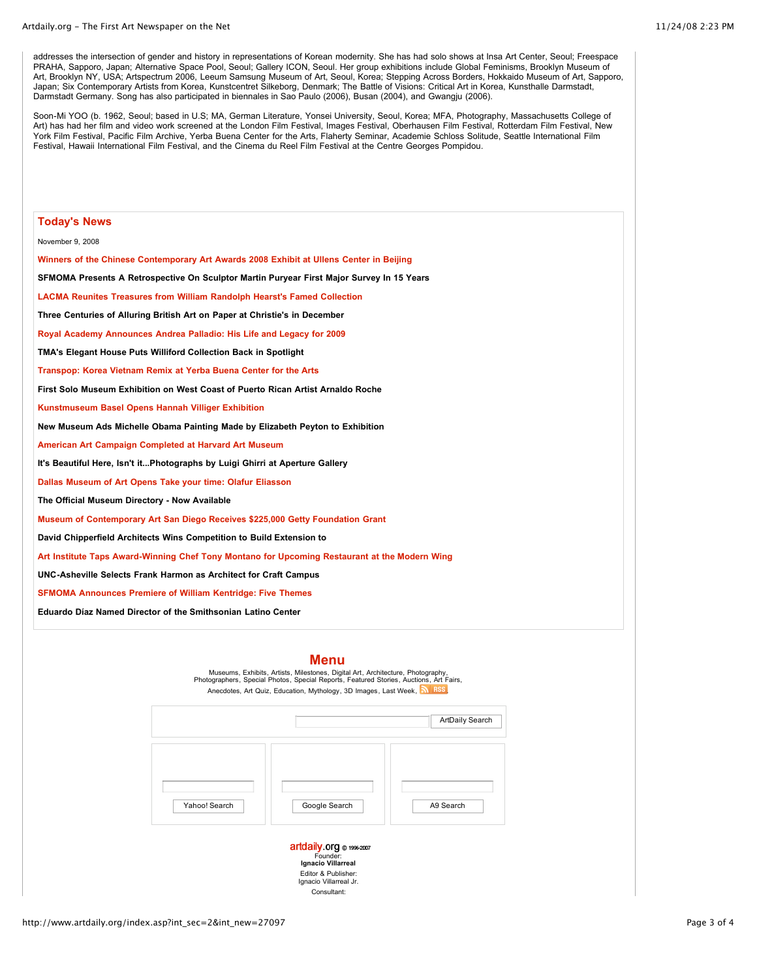addresses the intersection of gender and history in representations of Korean modernity. She has had solo shows at Insa Art Center, Seoul; Freespace PRAHA, Sapporo, Japan; Alternative Space Pool, Seoul; Gallery ICON, Seoul. Her group exhibitions include Global Feminisms, Brooklyn Museum of Art, Brooklyn NY, USA; Artspectrum 2006, Leeum Samsung Museum of Art, Seoul, Korea; Stepping Across Borders, Hokkaido Museum of Art, Sapporo, Japan; Six Contemporary Artists from Korea, Kunstcentret Silkeborg, Denmark; The Battle of Visions: Critical Art in Korea, Kunsthalle Darmstadt, Darmstadt Germany. Song has also participated in biennales in Sao Paulo (2006), Busan (2004), and Gwangju (2006).

Soon-Mi YOO (b. 1962, Seoul; based in U.S; MA, German Literature, Yonsei University, Seoul, Korea; MFA, Photography, Massachusetts College of Art) has had her film and video work screened at the London Film Festival, Images Festival, Oberhausen Film Festival, Rotterdam Film Festival, New York Film Festival, Pacific Film Archive, Yerba Buena Center for the Arts, Flaherty Seminar, Academie Schloss Solitude, Seattle International Film Festival, Hawaii International Film Festival, and the Cinema du Reel Film Festival at the Centre Georges Pompidou.

| <b>Today's News</b>                                                                           |
|-----------------------------------------------------------------------------------------------|
| November 9, 2008                                                                              |
| Winners of the Chinese Contemporary Art Awards 2008 Exhibit at Ullens Center in Beijing       |
| SFMOMA Presents A Retrospective On Sculptor Martin Puryear First Major Survey In 15 Years     |
| <b>LACMA Reunites Treasures from William Randolph Hearst's Famed Collection</b>               |
| Three Centuries of Alluring British Art on Paper at Christie's in December                    |
| Royal Academy Announces Andrea Palladio: His Life and Legacy for 2009                         |
| <b>TMA's Elegant House Puts Williford Collection Back in Spotlight</b>                        |
| Transpop: Korea Vietnam Remix at Yerba Buena Center for the Arts                              |
| First Solo Museum Exhibition on West Coast of Puerto Rican Artist Arnaldo Roche               |
| Kunstmuseum Basel Opens Hannah Villiger Exhibition                                            |
| New Museum Ads Michelle Obama Painting Made by Elizabeth Peyton to Exhibition                 |
| American Art Campaign Completed at Harvard Art Museum                                         |
| It's Beautiful Here, Isn't itPhotographs by Luigi Ghirri at Aperture Gallery                  |
| Dallas Museum of Art Opens Take your time: Olafur Eliasson                                    |
| The Official Museum Directory - Now Available                                                 |
| Museum of Contemporary Art San Diego Receives \$225,000 Getty Foundation Grant                |
| David Chipperfield Architects Wins Competition to Build Extension to                          |
| Art Institute Taps Award-Winning Chef Tony Montano for Upcoming Restaurant at the Modern Wing |
| UNC-Asheville Selects Frank Harmon as Architect for Craft Campus                              |
| <b>SFMOMA Announces Premiere of William Kentridge: Five Themes</b>                            |
| Eduardo Díaz Named Director of the Smithsonian Latino Center                                  |
|                                                                                               |

## **Menu**



Editor & Publisher: [Ignacio Villarreal Jr.](mailto:ignaciojr@artdaily.com) [Consultant:](http://www.artdaily.org/index.asp?int_sec=2&int_new=27097)